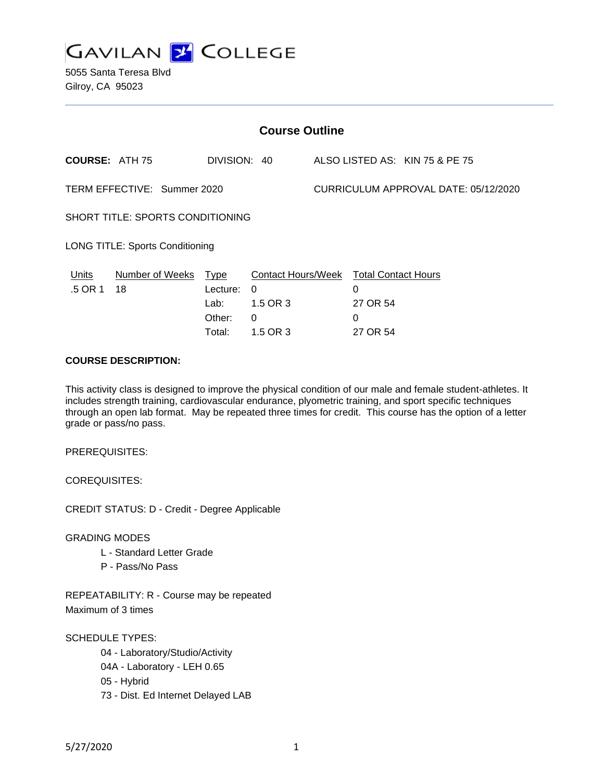

| <b>Course Outline</b>                |  |  |  |  |  |  |
|--------------------------------------|--|--|--|--|--|--|
|                                      |  |  |  |  |  |  |
| CURRICULUM APPROVAL DATE: 05/12/2020 |  |  |  |  |  |  |
|                                      |  |  |  |  |  |  |
|                                      |  |  |  |  |  |  |
|                                      |  |  |  |  |  |  |
|                                      |  |  |  |  |  |  |
|                                      |  |  |  |  |  |  |
|                                      |  |  |  |  |  |  |
|                                      |  |  |  |  |  |  |
|                                      |  |  |  |  |  |  |

## **COURSE DESCRIPTION:**

This activity class is designed to improve the physical condition of our male and female student-athletes. It includes strength training, cardiovascular endurance, plyometric training, and sport specific techniques through an open lab format. May be repeated three times for credit. This course has the option of a letter grade or pass/no pass.

PREREQUISITES:

COREQUISITES:

CREDIT STATUS: D - Credit - Degree Applicable

GRADING MODES

- L Standard Letter Grade
- P Pass/No Pass

REPEATABILITY: R - Course may be repeated Maximum of 3 times

SCHEDULE TYPES:

04 - Laboratory/Studio/Activity 04A - Laboratory - LEH 0.65 05 - Hybrid 73 - Dist. Ed Internet Delayed LAB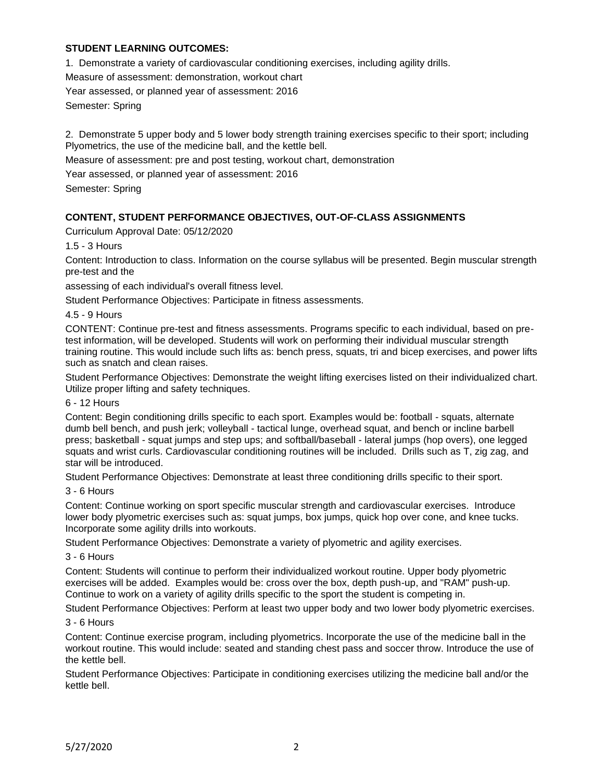#### **STUDENT LEARNING OUTCOMES:**

1. Demonstrate a variety of cardiovascular conditioning exercises, including agility drills.

Measure of assessment: demonstration, workout chart

Year assessed, or planned year of assessment: 2016

Semester: Spring

2. Demonstrate 5 upper body and 5 lower body strength training exercises specific to their sport; including Plyometrics, the use of the medicine ball, and the kettle bell.

Measure of assessment: pre and post testing, workout chart, demonstration

Year assessed, or planned year of assessment: 2016

Semester: Spring

#### **CONTENT, STUDENT PERFORMANCE OBJECTIVES, OUT-OF-CLASS ASSIGNMENTS**

Curriculum Approval Date: 05/12/2020

1.5 - 3 Hours

Content: Introduction to class. Information on the course syllabus will be presented. Begin muscular strength pre-test and the

assessing of each individual's overall fitness level.

Student Performance Objectives: Participate in fitness assessments.

4.5 - 9 Hours

CONTENT: Continue pre-test and fitness assessments. Programs specific to each individual, based on pretest information, will be developed. Students will work on performing their individual muscular strength training routine. This would include such lifts as: bench press, squats, tri and bicep exercises, and power lifts such as snatch and clean raises.

Student Performance Objectives: Demonstrate the weight lifting exercises listed on their individualized chart. Utilize proper lifting and safety techniques.

# 6 - 12 Hours

Content: Begin conditioning drills specific to each sport. Examples would be: football - squats, alternate dumb bell bench, and push jerk; volleyball - tactical lunge, overhead squat, and bench or incline barbell press; basketball - squat jumps and step ups; and softball/baseball - lateral jumps (hop overs), one legged squats and wrist curls. Cardiovascular conditioning routines will be included. Drills such as T, zig zag, and star will be introduced.

Student Performance Objectives: Demonstrate at least three conditioning drills specific to their sport.

#### 3 - 6 Hours

Content: Continue working on sport specific muscular strength and cardiovascular exercises. Introduce lower body plyometric exercises such as: squat jumps, box jumps, quick hop over cone, and knee tucks. Incorporate some agility drills into workouts.

Student Performance Objectives: Demonstrate a variety of plyometric and agility exercises.

#### 3 - 6 Hours

Content: Students will continue to perform their individualized workout routine. Upper body plyometric exercises will be added. Examples would be: cross over the box, depth push-up, and "RAM" push-up. Continue to work on a variety of agility drills specific to the sport the student is competing in.

Student Performance Objectives: Perform at least two upper body and two lower body plyometric exercises.

#### 3 - 6 Hours

Content: Continue exercise program, including plyometrics. Incorporate the use of the medicine ball in the workout routine. This would include: seated and standing chest pass and soccer throw. Introduce the use of the kettle bell.

Student Performance Objectives: Participate in conditioning exercises utilizing the medicine ball and/or the kettle bell.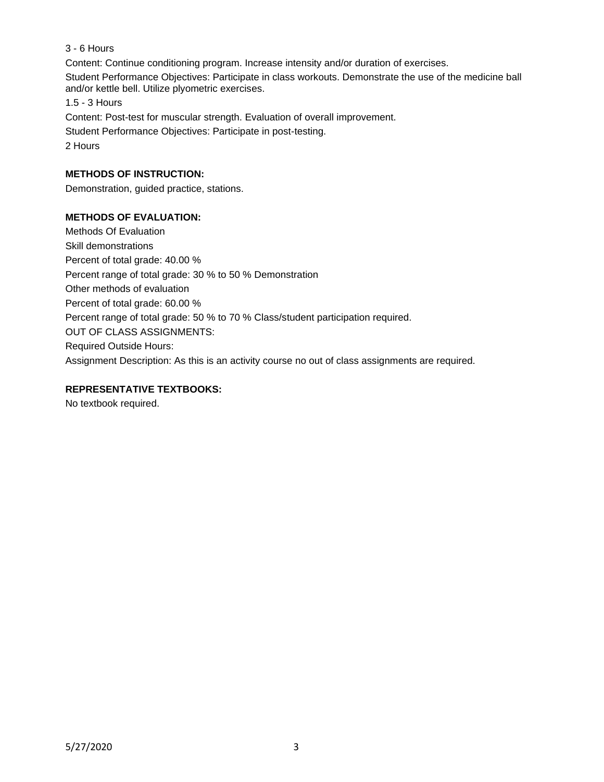## 3 - 6 Hours

Content: Continue conditioning program. Increase intensity and/or duration of exercises.

Student Performance Objectives: Participate in class workouts. Demonstrate the use of the medicine ball and/or kettle bell. Utilize plyometric exercises.

1.5 - 3 Hours

Content: Post-test for muscular strength. Evaluation of overall improvement.

Student Performance Objectives: Participate in post-testing.

2 Hours

## **METHODS OF INSTRUCTION:**

Demonstration, guided practice, stations.

## **METHODS OF EVALUATION:**

Methods Of Evaluation Skill demonstrations Percent of total grade: 40.00 % Percent range of total grade: 30 % to 50 % Demonstration Other methods of evaluation Percent of total grade: 60.00 % Percent range of total grade: 50 % to 70 % Class/student participation required. OUT OF CLASS ASSIGNMENTS: Required Outside Hours: Assignment Description: As this is an activity course no out of class assignments are required.

#### **REPRESENTATIVE TEXTBOOKS:**

No textbook required.